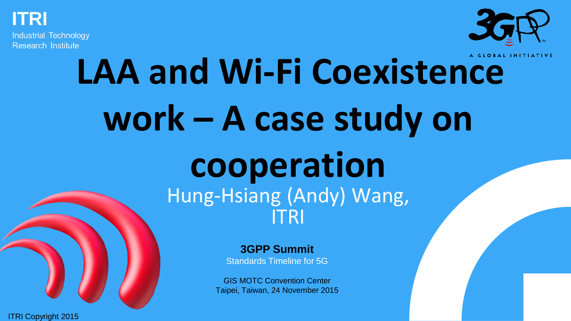

**Industrial Technology Research Institute** 



## **LAA and Wi-Fi Coexistence work – A case study on cooperation** Hung-Hsiang (Andy) Wang, ITRI

**3GPP Summit** Standards Timeline for 5G

GIS MOTC Convention Center Taipei, Taiwan, 24 November 2015

3GPP Summit – 24 November 2015, Taipei **1**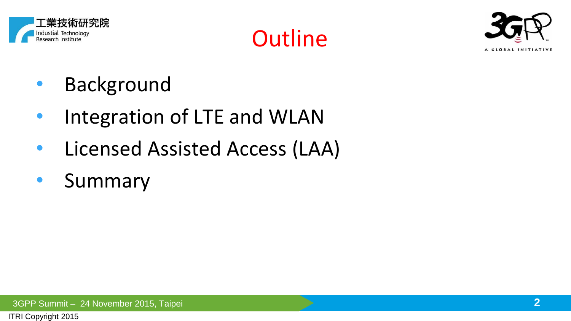





- Background
- Integration of LTE and WLAN
- Licensed Assisted Access (LAA)
- Summary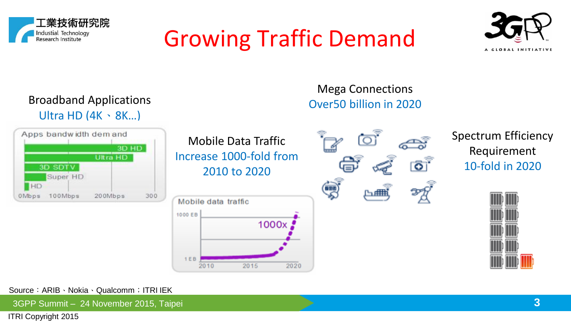

#### Growing Traffic Demand



Broadband Applications Ultra HD (4K、8K…)



Mobile Data Traffic Increase 1000-fold from 2010 to 2020



Mega Connections Over50 billion in 2020



Spectrum Efficiency Requirement 10-fold in 2020



Source:ARIB、Nokia、Qualcomm;ITRI IEK

3GPP Summit – 24 November 2015, Taipei **3**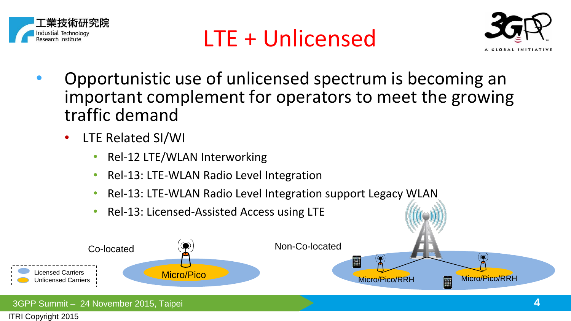





- Opportunistic use of unlicensed spectrum is becoming an important complement for operators to meet the growing traffic demand
	- LTE Related SI/WI
		- Rel-12 LTE/WLAN Interworking
		- Rel-13: LTE-WLAN Radio Level Integration
		- Rel-13: LTE-WLAN Radio Level Integration support Legacy WLAN
		- Rel-13: Licensed-Assisted Access using LTE

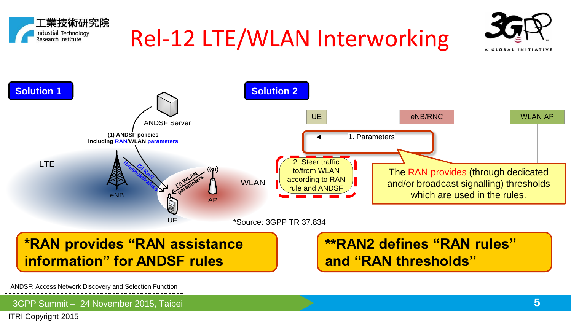



**and "RAN thresholds"**

**\*RAN provides "RAN assistance information" for ANDSF rules**

ANDSF: Access Network Discovery and Selection Function

3GPP Summit – 24 November 2015, Taipei **5**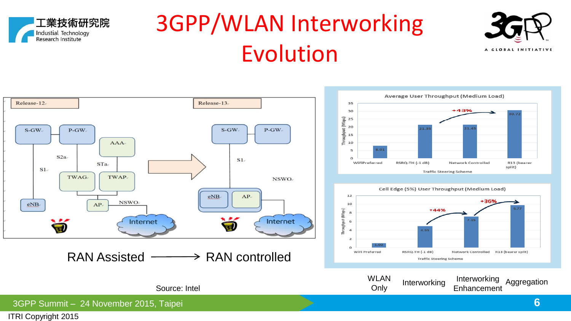

#### 3GPP/WLAN Interworking Evolution



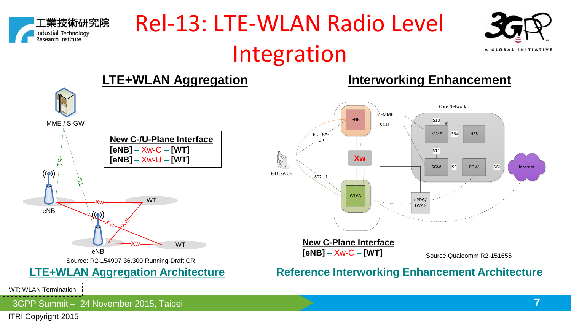

#### Rel-13: LTE-WLAN Radio Level Integration



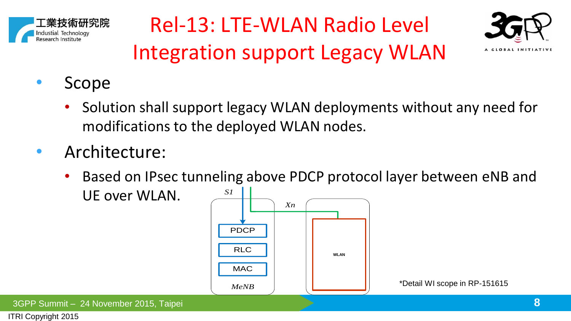





- Scope
	- Solution shall support legacy WLAN deployments without any need for modifications to the deployed WLAN nodes.
- Architecture:
	- Based on IPsec tunneling above PDCP protocol layer between eNB and UE over WLAN.



3GPP Summit – 24 November 2015, Taipei **8**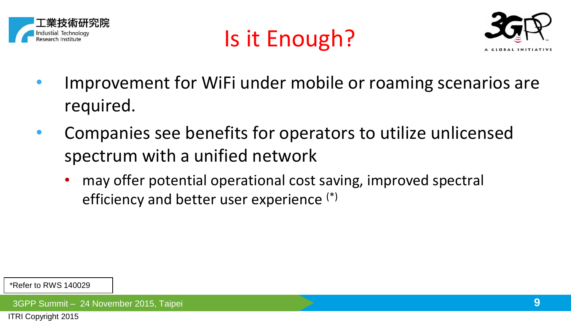





- Improvement for WiFi under mobile or roaming scenarios are required.
- Companies see benefits for operators to utilize unlicensed spectrum with a unified network
	- may offer potential operational cost saving, improved spectral efficiency and better user experience (\*)

\*Refer to RWS 140029

3GPP Summit – 24 November 2015, Taipei **9**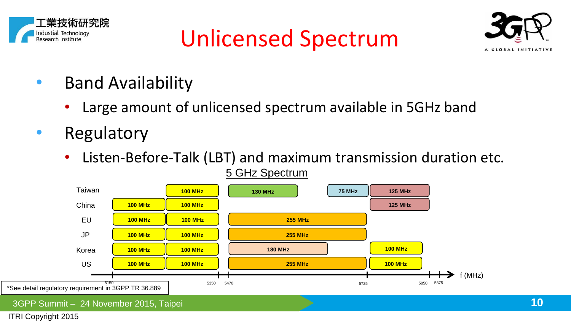





- Band Availability
	- Large amount of unlicensed spectrum available in 5GHz band
- Regulatory
	- Listen-Before-Talk (LBT) and maximum transmission duration etc. 5 GHz Spectrum

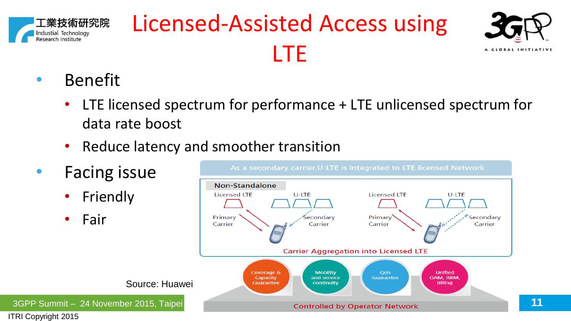

#### Licensed-Assisted Access using LTE



- Benefit
	- LTE licensed spectrum for performance + LTE unlicensed spectrum for data rate boost
	- Reduce latency and smoother transition
- Facing issue
	- **Friendly**
	- Fair

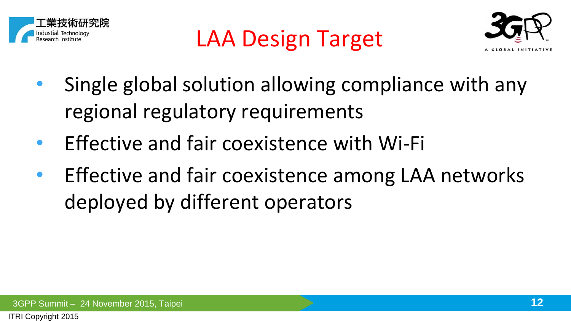





- Single global solution allowing compliance with any regional regulatory requirements
- Effective and fair coexistence with Wi-Fi
- Effective and fair coexistence among LAA networks deployed by different operators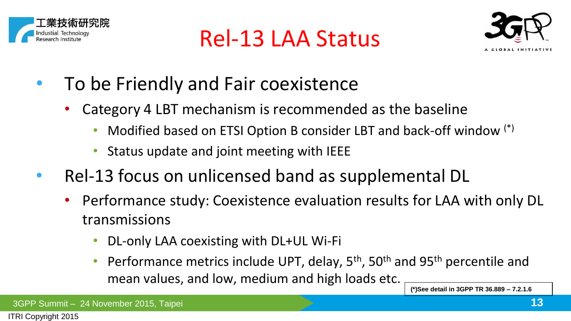





- To be Friendly and Fair coexistence
	- Category 4 LBT mechanism is recommended as the baseline
		- Modified based on ETSI Option B consider LBT and back-off window  $(*)$
		- Status update and joint meeting with IEEE
- Rel-13 focus on unlicensed band as supplemental DL
	- Performance study: Coexistence evaluation results for LAA with only DL transmissions
		- DL-only LAA coexisting with DL+UL Wi-Fi
		- Performance metrics include UPT, delay,  $5<sup>th</sup>$ ,  $50<sup>th</sup>$  and  $95<sup>th</sup>$  percentile and mean values, and low, medium and high loads etc.

**(\*)See detail in 3GPP TR 36.889 – 7.2.1.6**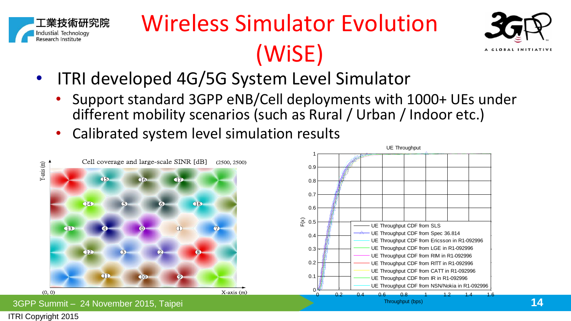

### Wireless Simulator Evolution (WiSE)



- ITRI developed 4G/5G System Level Simulator
	- Support standard 3GPP eNB/Cell deployments with 1000+ UEs under different mobility scenarios (such as Rural / Urban / Indoor etc.)
	- Calibrated system level simulation results

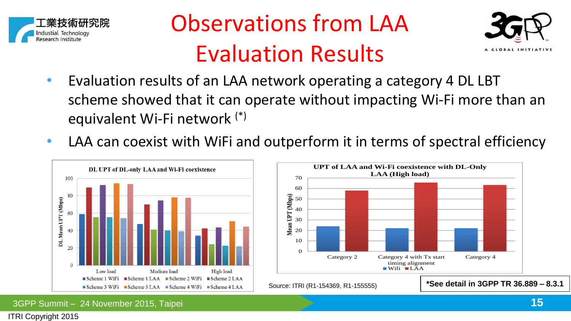

#### Observations from LAA Evaluation Results



- Evaluation results of an LAA network operating a category 4 DL LBT scheme showed that it can operate without impacting Wi-Fi more than an equivalent Wi-Fi network (\*)
- LAA can coexist with WiFi and outperform it in terms of spectral efficiency

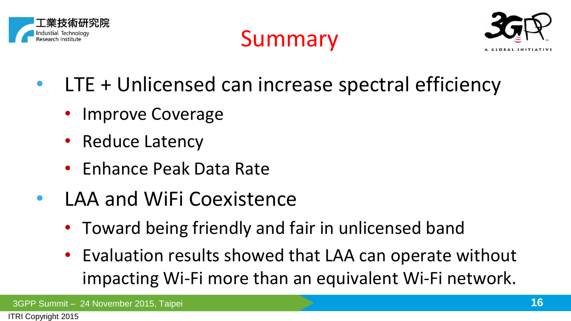





- LTE + Unlicensed can increase spectral efficiency
	- Improve Coverage
	- Reduce Latency
	- Enhance Peak Data Rate
- LAA and WiFi Coexistence
	- Toward being friendly and fair in unlicensed band
	- Evaluation results showed that LAA can operate without impacting Wi-Fi more than an equivalent Wi-Fi network.